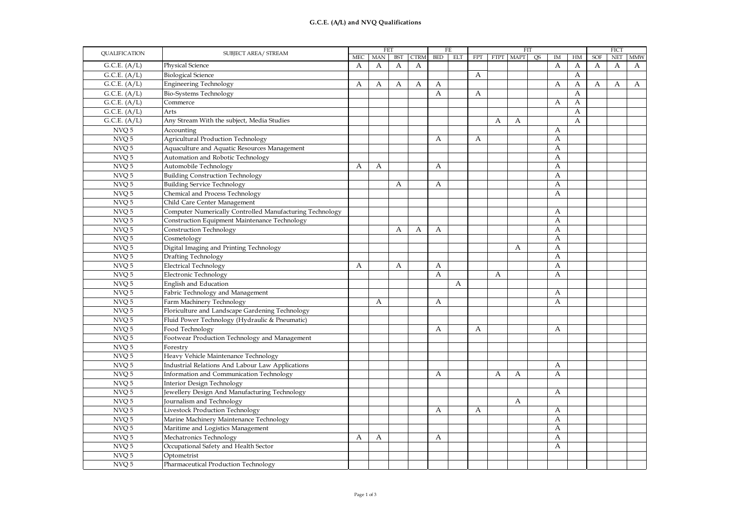| <b>QUALIFICATION</b>        | <b>SUBJECT AREA/ STREAM</b>                              |     | FET        |     |             | FE  |     |     |   | <b>FIT</b> |    |    |    | <b>FICT</b> |     |            |
|-----------------------------|----------------------------------------------------------|-----|------------|-----|-------------|-----|-----|-----|---|------------|----|----|----|-------------|-----|------------|
|                             |                                                          | MEC | <b>MAN</b> | BST | <b>CTRM</b> | BED | ELT | FPT |   | FTPT MAPT  | QS | IM | HM | SOF         | NET | <b>MMW</b> |
| G.C.E. (A/L)                | Physical Science                                         | А   | А          | А   | A           |     |     |     |   |            |    | А  | А  | A           | А   | A          |
| G.C.E. (A/L)                | <b>Biological Science</b>                                |     |            |     |             |     |     | A   |   |            |    |    | A  |             |     |            |
| G.C.E. (A/L)                | Engineering Technology                                   | А   | А          | А   | А           | A   |     |     |   |            |    | А  | А  | А           | А   | A          |
| G.C.E. (A/L)                | <b>Bio-Systems Technology</b>                            |     |            |     |             | A   |     | A   |   |            |    |    | A  |             |     |            |
| G.C.E. (A/L)                | Commerce                                                 |     |            |     |             |     |     |     |   |            |    | А  | А  |             |     |            |
| $\overline{G.C.E.}$ $(A/L)$ | Arts                                                     |     |            |     |             |     |     |     |   |            |    |    | А  |             |     |            |
| G.C.E. (A/L)                | Any Stream With the subject, Media Studies               |     |            |     |             |     |     |     | А | А          |    |    | А  |             |     |            |
| NVQ 5                       | Accounting                                               |     |            |     |             |     |     |     |   |            |    | А  |    |             |     |            |
| NVQ 5                       | Agricultural Production Technology                       |     |            |     |             | A   |     | A   |   |            |    | А  |    |             |     |            |
| NVQ 5                       | Aquaculture and Aquatic Resources Management             |     |            |     |             |     |     |     |   |            |    | A  |    |             |     |            |
| NVQ 5                       | Automation and Robotic Technology                        |     |            |     |             |     |     |     |   |            |    | A  |    |             |     |            |
| NVQ 5                       | Automobile Technology                                    | А   | А          |     |             | A   |     |     |   |            |    | А  |    |             |     |            |
| NVQ 5                       | <b>Building Construction Technology</b>                  |     |            |     |             |     |     |     |   |            |    | A  |    |             |     |            |
| NVQ 5                       | <b>Building Service Technology</b>                       |     |            | A   |             | A   |     |     |   |            |    | А  |    |             |     |            |
| NVQ 5                       | Chemical and Process Technology                          |     |            |     |             |     |     |     |   |            |    | A  |    |             |     |            |
| NVQ 5                       | Child Care Center Management                             |     |            |     |             |     |     |     |   |            |    |    |    |             |     |            |
| NVQ 5                       | Computer Numerically Controlled Manufacturing Technology |     |            |     |             |     |     |     |   |            |    | A  |    |             |     |            |
| NVQ 5                       | Construction Equipment Maintenance Technology            |     |            |     |             |     |     |     |   |            |    | A  |    |             |     |            |
| NVQ 5                       | Construction Technology                                  |     |            | А   | А           | A   |     |     |   |            |    | A  |    |             |     |            |
| NVQ 5                       | Cosmetology                                              |     |            |     |             |     |     |     |   |            |    | A  |    |             |     |            |
| NVQ 5                       | Digital Imaging and Printing Technology                  |     |            |     |             |     |     |     |   | А          |    | А  |    |             |     |            |
| NVQ 5                       | Drafting Technology                                      |     |            |     |             |     |     |     |   |            |    | А  |    |             |     |            |
| NVQ 5                       | <b>Electrical Technology</b>                             | А   |            | A   |             | A   |     |     |   |            |    | A  |    |             |     |            |
| NVQ 5                       | Electronic Technology                                    |     |            |     |             | A   |     |     | А |            |    | A  |    |             |     |            |
| NVQ 5                       | English and Education                                    |     |            |     |             |     | А   |     |   |            |    |    |    |             |     |            |
| NVQ 5                       | Fabric Technology and Management                         |     |            |     |             |     |     |     |   |            |    | A  |    |             |     |            |
| NVQ 5                       | Farm Machinery Technology                                |     | А          |     |             | A   |     |     |   |            |    | А  |    |             |     |            |
| NVQ 5                       | Floriculture and Landscape Gardening Technology          |     |            |     |             |     |     |     |   |            |    |    |    |             |     |            |
| NVQ 5                       | Fluid Power Technology (Hydraulic & Pneumatic)           |     |            |     |             |     |     |     |   |            |    |    |    |             |     |            |
| NVQ 5                       | Food Technology                                          |     |            |     |             | A   |     | A   |   |            |    | A  |    |             |     |            |
| NVQ 5                       | Footwear Production Technology and Management            |     |            |     |             |     |     |     |   |            |    |    |    |             |     |            |
| NVQ 5                       | Forestry                                                 |     |            |     |             |     |     |     |   |            |    |    |    |             |     |            |
| NVQ 5                       | Heavy Vehicle Maintenance Technology                     |     |            |     |             |     |     |     |   |            |    |    |    |             |     |            |
| NVQ 5                       | Industrial Relations And Labour Law Applications         |     |            |     |             |     |     |     |   |            |    | А  |    |             |     |            |
| NVQ 5                       | Information and Communication Technology                 |     |            |     |             | A   |     |     | А | A          |    | А  |    |             |     |            |
| NVQ 5                       | Interior Design Technology                               |     |            |     |             |     |     |     |   |            |    |    |    |             |     |            |
| NVQ 5                       | Jewellery Design And Manufacturing Technology            |     |            |     |             |     |     |     |   |            |    | A  |    |             |     |            |
| NVQ 5                       | Journalism and Technology                                |     |            |     |             |     |     |     |   | А          |    |    |    |             |     |            |
| NVQ 5                       | Livestock Production Technology                          |     |            |     |             | A   |     | A   |   |            |    | A  |    |             |     |            |
| NVQ 5                       | Marine Machinery Maintenance Technology                  |     |            |     |             |     |     |     |   |            |    | A  |    |             |     |            |
| NVQ 5                       | Maritime and Logistics Management                        |     |            |     |             |     |     |     |   |            |    | А  |    |             |     |            |
| NVQ 5                       | Mechatronics Technology                                  | А   | А          |     |             | A   |     |     |   |            |    | А  |    |             |     |            |
| NVQ 5                       | Occupational Safety and Health Sector                    |     |            |     |             |     |     |     |   |            |    | A  |    |             |     |            |
| NVQ 5                       | Optometrist                                              |     |            |     |             |     |     |     |   |            |    |    |    |             |     |            |
| NVQ 5                       | Pharmaceutical Production Technology                     |     |            |     |             |     |     |     |   |            |    |    |    |             |     |            |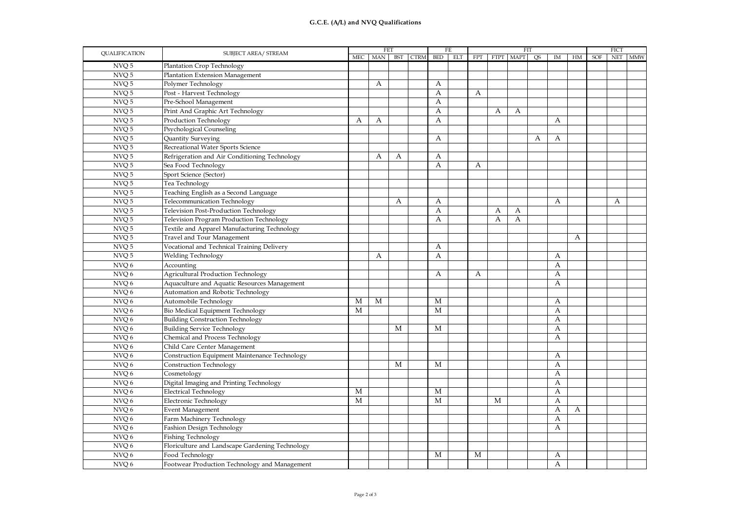| <b>QUALIFICATION</b> | <b>SUBJECT AREA/ STREAM</b>                     | FET |         |   |          |              | FE  |     |   | FIT       |    |    |    | <b>FICT</b> |   |         |
|----------------------|-------------------------------------------------|-----|---------|---|----------|--------------|-----|-----|---|-----------|----|----|----|-------------|---|---------|
|                      |                                                 |     | MEC MAN |   | BST CTRM | <b>BED</b>   | ELT | FPT |   | FTPT MAPT | QS | IM | HM | SOF         |   | NET MMW |
| NVQ 5                | Plantation Crop Technology                      |     |         |   |          |              |     |     |   |           |    |    |    |             |   |         |
| NVQ 5                | Plantation Extension Management                 |     |         |   |          |              |     |     |   |           |    |    |    |             |   |         |
| NVQ 5                | Polymer Technology                              |     | А       |   |          | A            |     |     |   |           |    |    |    |             |   |         |
| NVQ 5                | Post - Harvest Technology                       |     |         |   |          | А            |     | А   |   |           |    |    |    |             |   |         |
| NVQ 5                | Pre-School Management                           |     |         |   |          | А            |     |     |   |           |    |    |    |             |   |         |
| NVQ 5                | Print And Graphic Art Technology                |     |         |   |          | A            |     |     | A | А         |    |    |    |             |   |         |
| NVQ 5                | Production Technology                           | А   | А       |   |          | А            |     |     |   |           |    | A  |    |             |   |         |
| NVQ 5                | Psychological Counseling                        |     |         |   |          |              |     |     |   |           |    |    |    |             |   |         |
| NVQ 5                | Quantity Surveying                              |     |         |   |          | A            |     |     |   |           | А  | А  |    |             |   |         |
| NVQ 5                | Recreational Water Sports Science               |     |         |   |          |              |     |     |   |           |    |    |    |             |   |         |
| NVQ 5                | Refrigeration and Air Conditioning Technology   |     | А       | А |          | А            |     |     |   |           |    |    |    |             |   |         |
| NVQ 5                | Sea Food Technology                             |     |         |   |          | A            |     | A   |   |           |    |    |    |             |   |         |
| NVQ 5                | Sport Science (Sector)                          |     |         |   |          |              |     |     |   |           |    |    |    |             |   |         |
| NVQ 5                | Tea Technology                                  |     |         |   |          |              |     |     |   |           |    |    |    |             |   |         |
| NVQ 5                | Teaching English as a Second Language           |     |         |   |          |              |     |     |   |           |    |    |    |             |   |         |
| NVQ 5                | Telecommunication Technology                    |     |         | А |          | A            |     |     |   |           |    | A  |    |             | A |         |
| NVQ 5                | Television Post-Production Technology           |     |         |   |          | A            |     |     | А | А         |    |    |    |             |   |         |
| NVQ 5                | Television Program Production Technology        |     |         |   |          | A            |     |     | A | A         |    |    |    |             |   |         |
| NVQ 5                | Textile and Apparel Manufacturing Technology    |     |         |   |          |              |     |     |   |           |    |    |    |             |   |         |
| NVQ 5                | Travel and Tour Management                      |     |         |   |          |              |     |     |   |           |    |    | A  |             |   |         |
| NVQ 5                | Vocational and Technical Training Delivery      |     |         |   |          | A            |     |     |   |           |    |    |    |             |   |         |
| NVQ 5                | Welding Technology                              |     | A       |   |          | A            |     |     |   |           |    | А  |    |             |   |         |
| NVQ 6                | Accounting                                      |     |         |   |          |              |     |     |   |           |    | A  |    |             |   |         |
| NVQ 6                | <b>Agricultural Production Technology</b>       |     |         |   |          | А            |     | А   |   |           |    | A  |    |             |   |         |
| NVQ 6                | Aquaculture and Aquatic Resources Management    |     |         |   |          |              |     |     |   |           |    | А  |    |             |   |         |
| NVQ 6                | Automation and Robotic Technology               |     |         |   |          |              |     |     |   |           |    |    |    |             |   |         |
| NVQ 6                | Automobile Technology                           | M   | M       |   |          | $\mathbf{M}$ |     |     |   |           |    | А  |    |             |   |         |
| NVQ 6                | Bio Medical Equipment Technology                | М   |         |   |          | М            |     |     |   |           |    | А  |    |             |   |         |
| NVQ 6                | <b>Building Construction Technology</b>         |     |         |   |          |              |     |     |   |           |    | А  |    |             |   |         |
| NVQ 6                | <b>Building Service Technology</b>              |     |         | M |          | M            |     |     |   |           |    | A  |    |             |   |         |
| NVQ 6                | Chemical and Process Technology                 |     |         |   |          |              |     |     |   |           |    | А  |    |             |   |         |
| NVQ 6                | Child Care Center Management                    |     |         |   |          |              |     |     |   |           |    |    |    |             |   |         |
| NVQ 6                | Construction Equipment Maintenance Technology   |     |         |   |          |              |     |     |   |           |    | А  |    |             |   |         |
| NVQ 6                | Construction Technology                         |     |         | М |          | М            |     |     |   |           |    | А  |    |             |   |         |
| NVQ 6                | Cosmetology                                     |     |         |   |          |              |     |     |   |           |    | A  |    |             |   |         |
| NVQ 6                | Digital Imaging and Printing Technology         |     |         |   |          |              |     |     |   |           |    | А  |    |             |   |         |
| NVQ 6                | <b>Electrical Technology</b>                    | M   |         |   |          | M            |     |     |   |           |    | A  |    |             |   |         |
| NVQ 6                | Electronic Technology                           | M   |         |   |          | M            |     |     | M |           |    | А  |    |             |   |         |
| NVQ 6                | <b>Event Management</b>                         |     |         |   |          |              |     |     |   |           |    | А  | A  |             |   |         |
| NVQ 6                | Farm Machinery Technology                       |     |         |   |          |              |     |     |   |           |    | A  |    |             |   |         |
| NVQ 6                | Fashion Design Technology                       |     |         |   |          |              |     |     |   |           |    | А  |    |             |   |         |
| NVQ 6                | <b>Fishing Technology</b>                       |     |         |   |          |              |     |     |   |           |    |    |    |             |   |         |
| NVQ 6                | Floriculture and Landscape Gardening Technology |     |         |   |          |              |     |     |   |           |    |    |    |             |   |         |
| NVQ 6                | Food Technology                                 |     |         |   |          | М            |     | М   |   |           |    | А  |    |             |   |         |
| NVQ 6                | Footwear Production Technology and Management   |     |         |   |          |              |     |     |   |           |    | A  |    |             |   |         |
|                      |                                                 |     |         |   |          |              |     |     |   |           |    |    |    |             |   |         |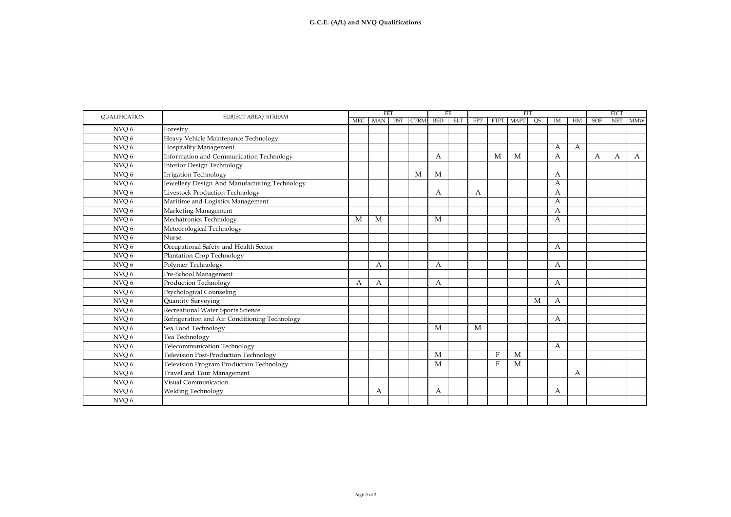| <b>QUALIFICATION</b><br>NVQ 6 | SUBJECT AREA/ STREAM<br>Forestry              | <b>MEC</b> | MAN | <b>BST</b> | <b>CTRM</b> | <b>BED</b> | <b>ELT</b> | <b>FPT</b> | FTPT MAPT |   | <b>OS</b> | IM | HM | <b>SOF</b> | <b>NET</b> |            |
|-------------------------------|-----------------------------------------------|------------|-----|------------|-------------|------------|------------|------------|-----------|---|-----------|----|----|------------|------------|------------|
|                               |                                               |            |     |            |             |            |            |            |           |   |           |    |    |            |            | <b>MMW</b> |
|                               |                                               |            |     |            |             |            |            |            |           |   |           |    |    |            |            |            |
| NVO <sub>6</sub>              | Heavy Vehicle Maintenance Technology          |            |     |            |             |            |            |            |           |   |           |    |    |            |            |            |
| NVQ 6                         | Hospitality Management                        |            |     |            |             |            |            |            |           |   |           | А  | А  |            |            |            |
| NVQ 6                         | Information and Communication Technology      |            |     |            |             | А          |            |            | M         | M |           | A  |    | A          | А          | A          |
| NVQ 6                         | Interior Design Technology                    |            |     |            |             |            |            |            |           |   |           |    |    |            |            |            |
| NVQ 6                         | <b>Irrigation Technology</b>                  |            |     |            | M           | M          |            |            |           |   |           | А  |    |            |            |            |
| NVQ 6                         | Jewellery Design And Manufacturing Technology |            |     |            |             |            |            |            |           |   |           | А  |    |            |            |            |
| NVQ 6                         | Livestock Production Technology               |            |     |            |             | А          |            | А          |           |   |           | A  |    |            |            |            |
| NVQ 6                         | Maritime and Logistics Management             |            |     |            |             |            |            |            |           |   |           | А  |    |            |            |            |
| NVQ 6                         | Marketing Management                          |            |     |            |             |            |            |            |           |   |           | А  |    |            |            |            |
| NVQ 6                         | Mechatronics Technology                       | M          | M   |            |             | M          |            |            |           |   |           | A  |    |            |            |            |
| NVQ6                          | Meteorological Technology                     |            |     |            |             |            |            |            |           |   |           |    |    |            |            |            |
| NVQ 6                         | Nurse                                         |            |     |            |             |            |            |            |           |   |           |    |    |            |            |            |
| NVQ 6                         | Occupational Safety and Health Sector         |            |     |            |             |            |            |            |           |   |           | А  |    |            |            |            |
| NVQ 6                         | Plantation Crop Technology                    |            |     |            |             |            |            |            |           |   |           |    |    |            |            |            |
| NVQ 6                         | Polymer Technology                            |            | A   |            |             | A          |            |            |           |   |           | А  |    |            |            |            |
| NVQ 6                         | Pre-School Management                         |            |     |            |             |            |            |            |           |   |           |    |    |            |            |            |
| NVQ 6                         | Production Technology                         | А          | А   |            |             | А          |            |            |           |   |           | A  |    |            |            |            |
| NVQ 6                         | Psychological Counseling                      |            |     |            |             |            |            |            |           |   |           |    |    |            |            |            |
| NVQ 6                         | Quantity Surveying                            |            |     |            |             |            |            |            |           |   | M         | A  |    |            |            |            |
| NVQ 6                         | Recreational Water Sports Science             |            |     |            |             |            |            |            |           |   |           |    |    |            |            |            |
| NVQ 6                         | Refrigeration and Air Conditioning Technology |            |     |            |             |            |            |            |           |   |           | А  |    |            |            |            |
| NVQ 6                         | Sea Food Technology                           |            |     |            |             | M          |            | M          |           |   |           |    |    |            |            |            |
| NVQ 6                         | Tea Technology                                |            |     |            |             |            |            |            |           |   |           |    |    |            |            |            |
| NVQ 6                         | Telecommunication Technology                  |            |     |            |             |            |            |            |           |   |           | A  |    |            |            |            |
| NVQ 6                         | Television Post-Production Technology         |            |     |            |             | M          |            |            | F         | M |           |    |    |            |            |            |
| NVQ 6                         | Television Program Production Technology      |            |     |            |             | M          |            |            | F         | M |           |    |    |            |            |            |
| NVQ 6                         | Travel and Tour Management                    |            |     |            |             |            |            |            |           |   |           |    | A  |            |            |            |
| NVQ 6                         | Visual Communication                          |            |     |            |             |            |            |            |           |   |           |    |    |            |            |            |
| NVQ 6                         | Welding Technology                            |            | A   |            |             | А          |            |            |           |   |           | A  |    |            |            |            |
| NVQ 6                         |                                               |            |     |            |             |            |            |            |           |   |           |    |    |            |            |            |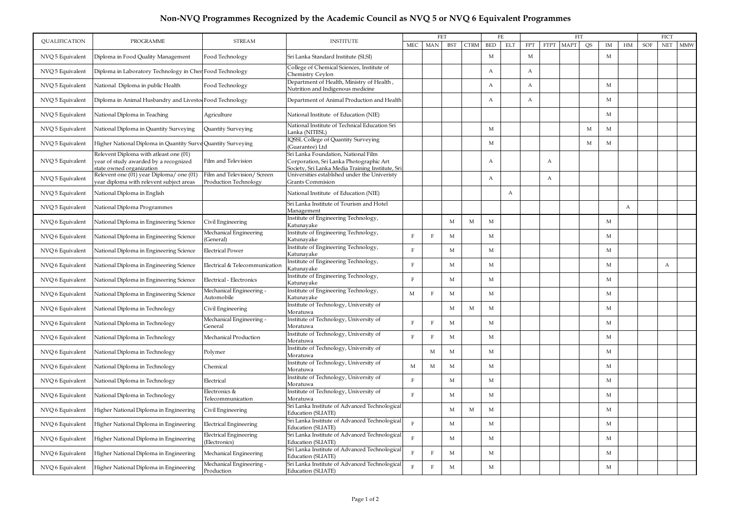## **Non-NVQ Programmes Recognized by the Academic Council as NVQ 5 or NVQ 6 Equivalent Programmes**

|                  |                                                                                                             |                                                     |                                                                                                                                    |              |            | <b>FET</b> |             | FE         |            |            |   | <b>FIT</b> |    |    |                                 |     | <b>FICT</b> |            |
|------------------|-------------------------------------------------------------------------------------------------------------|-----------------------------------------------------|------------------------------------------------------------------------------------------------------------------------------------|--------------|------------|------------|-------------|------------|------------|------------|---|------------|----|----|---------------------------------|-----|-------------|------------|
| QUALIFICATION    | PROGRAMME                                                                                                   | <b>STREAM</b>                                       | <b>INSTITUTE</b>                                                                                                                   | ${\rm MEC}$  | <b>MAN</b> | <b>BST</b> | <b>CTRM</b> | <b>BED</b> | <b>ELT</b> | <b>FPT</b> |   | FTPT MAPT  | QS | IM | $\ensuremath{\text{HM}}\xspace$ | SOF | <b>NET</b>  | <b>MMW</b> |
| NVQ 5 Equivalent | Diploma in Food Quality Management                                                                          | Food Technology                                     | Sri Lanka Standard Institute (SLSI)                                                                                                |              |            |            |             | М          |            | M          |   |            |    | М  |                                 |     |             |            |
| NVQ 5 Equivalent | Diploma in Laboratory Technology in Chen Food Technology                                                    |                                                     | College of Chemical Sciences, Institute of<br>Chemistry Ceylon                                                                     |              |            |            |             | A          |            | A          |   |            |    |    |                                 |     |             |            |
| NVQ 5 Equivalent | National Diploma in public Health                                                                           | Food Technology                                     | Department of Health, Ministry of Health,<br>Nutrition and Indigenous medicine                                                     |              |            |            |             | A          |            | A          |   |            |    | М  |                                 |     |             |            |
| NVQ 5 Equivalent | Diploma in Animal Husbandry and Livesto Food Technology                                                     |                                                     | Department of Animal Production and Health                                                                                         |              |            |            |             | A          |            | A          |   |            |    | М  |                                 |     |             |            |
| NVQ 5 Equivalent | National Diploma in Teaching                                                                                | Agriculture                                         | National Institute of Education (NIE)                                                                                              |              |            |            |             |            |            |            |   |            |    | М  |                                 |     |             |            |
| NVQ 5 Equivalent | National Diploma in Quantity Surveying                                                                      | Quantity Surveying                                  | National Institute of Technical Education Sri<br>Lanka (NITESL)                                                                    |              |            |            |             | M          |            |            |   |            | M  | М  |                                 |     |             |            |
| NVQ 5 Equivalent | Higher National Diploma in Quantity Surve Quantity Surveying                                                |                                                     | IQSSL College of Quantity Surveying<br>(Guarantee) Ltd                                                                             |              |            |            |             | M          |            |            |   |            |    | М  |                                 |     |             |            |
| NVQ 5 Equivalent | Relevent Diploma with atleast one (01)<br>year of study awarded by a recognized<br>state owned organization | Film and Television                                 | Sri Lanka Foundation, National Film<br>Corporation, Sri Lanka Photographic Art<br>Society, Sri Lanka Media Training Institute, Sri |              |            |            |             | A          |            |            | A |            |    |    |                                 |     |             |            |
| NVQ 5 Equivalent | Relevent one (01) year Diploma/ one (01)<br>year diploma with relevent subject areas                        | Film and Television/Screen<br>Production Technology | Universities establshed under the Univeristy<br><b>Grants Commision</b>                                                            |              |            |            |             | A          |            |            | A |            |    |    |                                 |     |             |            |
| NVQ 5 Equivalent | National Diploma in English                                                                                 |                                                     | National Institute of Education (NIE)                                                                                              |              |            |            |             |            | A          |            |   |            |    |    |                                 |     |             |            |
| NVQ 5 Equivalent | National Diploma Programmes                                                                                 |                                                     | Sri Lanka Institute of Tourism and Hotel<br>Management                                                                             |              |            |            |             |            |            |            |   |            |    |    | A                               |     |             |            |
| NVQ 6 Equivalent | National Diploma in Engineering Science                                                                     | Civil Engineering                                   | Institute of Engineering Technology,<br>Katunayake                                                                                 |              |            | M          | M           | M          |            |            |   |            |    | М  |                                 |     |             |            |
| NVQ 6 Equivalent | National Diploma in Engineering Science                                                                     | Mechanical Engineering<br>(General)                 | Institute of Engineering Technology,<br>Katunayake                                                                                 |              | F          | M          |             | M          |            |            |   |            |    | М  |                                 |     |             |            |
| NVQ 6 Equivalent | National Diploma in Engineering Science                                                                     | <b>Electrical Power</b>                             | Institute of Engineering Technology,<br>Katunayake                                                                                 |              |            | M          |             | M          |            |            |   |            |    | М  |                                 |     |             |            |
| NVQ 6 Equivalent | National Diploma in Engineering Science                                                                     | Electrical & Telecommunication                      | Institute of Engineering Technology,<br>Katunayake                                                                                 | F            |            | М          |             | M          |            |            |   |            |    | М  |                                 |     | A           |            |
| NVQ 6 Equivalent | National Diploma in Engineering Science                                                                     | <b>Electrical - Electronics</b>                     | Institute of Engineering Technology,<br>Katunayake                                                                                 |              |            | М          |             | M          |            |            |   |            |    | М  |                                 |     |             |            |
| NVQ 6 Equivalent | National Diploma in Engineering Science                                                                     | Mechanical Engineering -<br>Automobile              | Institute of Engineering Technology,<br>Katunayake                                                                                 | M            |            | M          |             | M          |            |            |   |            |    | М  |                                 |     |             |            |
| NVQ 6 Equivalent | National Diploma in Technology                                                                              | Civil Engineering                                   | Institute of Technology, University of<br>Moratuwa                                                                                 |              |            | М          | М           | M          |            |            |   |            |    | М  |                                 |     |             |            |
| NVQ 6 Equivalent | National Diploma in Technology                                                                              | Mechanical Engineering -<br>General                 | Institute of Technology, University of<br>Moratuwa                                                                                 | E            | F          | M          |             | M          |            |            |   |            |    | М  |                                 |     |             |            |
| NVQ 6 Equivalent | National Diploma in Technology                                                                              | Mechanical Production                               | Institute of Technology, University of<br>Moratuwa                                                                                 | $\mathbf{F}$ | F          | М          |             | M          |            |            |   |            |    | M  |                                 |     |             |            |
| NVQ 6 Equivalent | National Diploma in Technology                                                                              | Polymer                                             | Institute of Technology, University of<br>Moratuwa                                                                                 |              | M          | М          |             | M          |            |            |   |            |    | М  |                                 |     |             |            |
| NVQ 6 Equivalent | National Diploma in Technology                                                                              | Chemical                                            | Institute of Technology, University of<br>Moratuwa                                                                                 | M            | M          | M          |             | M          |            |            |   |            |    | М  |                                 |     |             |            |
| NVQ 6 Equivalent | National Diploma in Technology                                                                              | Electrical                                          | Institute of Technology, University of<br>Moratuwa                                                                                 |              |            | M          |             | M          |            |            |   |            |    | М  |                                 |     |             |            |
| NVQ 6 Equivalent | National Diploma in Technology                                                                              | Electronics &<br>Telecommunication                  | Institute of Technology, University of<br>Moratuwa                                                                                 | E            |            | М          |             | М          |            |            |   |            |    | М  |                                 |     |             |            |
| NVQ 6 Equivalent | Higher National Diploma in Engineering                                                                      | Civil Engineering                                   | Sri Lanka Institute of Advanced Technological<br>Education (SLIATE)                                                                |              |            | M          | M           | М          |            |            |   |            |    | M  |                                 |     |             |            |
| NVQ 6 Equivalent | Higher National Diploma in Engineering                                                                      | <b>Electrical Engineering</b>                       | Sri Lanka Institute of Advanced Technological<br><b>Education (SLIATE)</b>                                                         |              |            | M          |             | M          |            |            |   |            |    | М  |                                 |     |             |            |
| NVQ 6 Equivalent | Higher National Diploma in Engineering                                                                      | <b>Electrical Engineering</b><br>(Electronics)      | Sri Lanka Institute of Advanced Technological<br><b>Education (SLIATE)</b>                                                         |              |            | M          |             | M          |            |            |   |            |    | M  |                                 |     |             |            |
| NVQ 6 Equivalent | Higher National Diploma in Engineering                                                                      | Mechanical Engineering                              | Sri Lanka Institute of Advanced Technological<br>Education (SLIATE)                                                                |              | F          | M          |             | M          |            |            |   |            |    | М  |                                 |     |             |            |
| NVQ 6 Equivalent | Higher National Diploma in Engineering                                                                      | Mechanical Engineering -<br>Production              | Sri Lanka Institute of Advanced Technological<br><b>Education (SLIATE)</b>                                                         |              | F          | M          |             | M          |            |            |   |            |    | M  |                                 |     |             |            |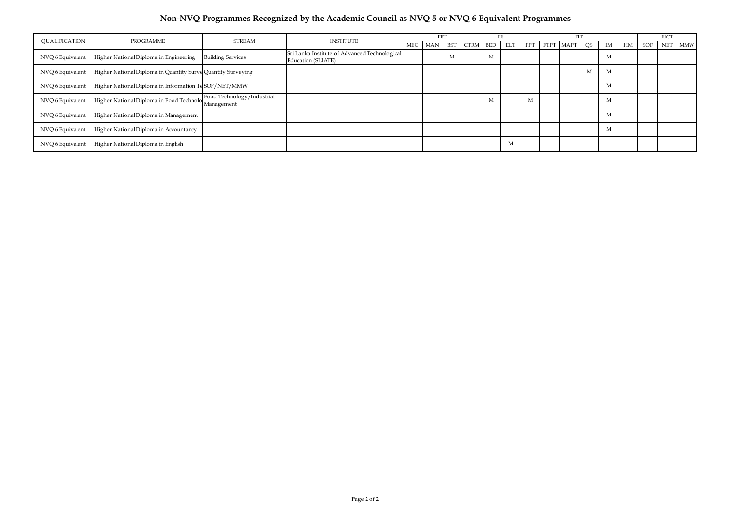## **Non-NVQ Programmes Recognized by the Academic Council as NVQ 5 or NVQ 6 Equivalent Programmes**

| QUALIFICATION    | PROGRAMME<br>STREAM                                          |                                          | <b>INSTITUTE</b>                                                    |            | <b>FET</b> |            |             |            | FE | <b>FIT</b> |           |  |    |    |    |     | <b>FICT</b> |              |  |
|------------------|--------------------------------------------------------------|------------------------------------------|---------------------------------------------------------------------|------------|------------|------------|-------------|------------|----|------------|-----------|--|----|----|----|-----|-------------|--------------|--|
|                  |                                                              |                                          |                                                                     | <b>MEC</b> | MAN        | <b>BST</b> | <b>CTRM</b> | <b>BED</b> |    | <b>FPT</b> | FTPT MAPT |  | QS | ΙM | HM | SOF | <b>NET</b>  | $\mbox{MMW}$ |  |
| NVQ 6 Equivalent | Higher National Diploma in Engineering                       | <b>Building Services</b>                 | Sri Lanka Institute of Advanced Technological<br>Education (SLIATE) |            |            | M          |             | M          |    |            |           |  |    |    |    |     |             |              |  |
| NVQ 6 Equivalent | Higher National Diploma in Quantity Surve Quantity Surveying |                                          |                                                                     |            |            |            |             |            |    |            |           |  | M  |    |    |     |             |              |  |
| NVQ 6 Equivalent | Higher National Diploma in Information TeSOF/NET/MMW         |                                          |                                                                     |            |            |            |             |            |    |            |           |  |    |    |    |     |             |              |  |
| NVQ 6 Equivalent | <b>Higher National Diploma in Food Technolo</b>              | Food Technology/Industrial<br>Management |                                                                     |            |            |            |             | M          |    | M          |           |  |    |    |    |     |             |              |  |
| NVQ 6 Equivalent | <b>Higher National Diploma in Management</b>                 |                                          |                                                                     |            |            |            |             |            |    |            |           |  |    |    |    |     |             |              |  |
| NVQ 6 Equivalent | <b>Higher National Diploma in Accountancy</b>                |                                          |                                                                     |            |            |            |             |            |    |            |           |  |    |    |    |     |             |              |  |
| NVQ 6 Equivalent | Iigher National Diploma in English                           |                                          |                                                                     |            |            |            |             |            | M  |            |           |  |    |    |    |     |             |              |  |